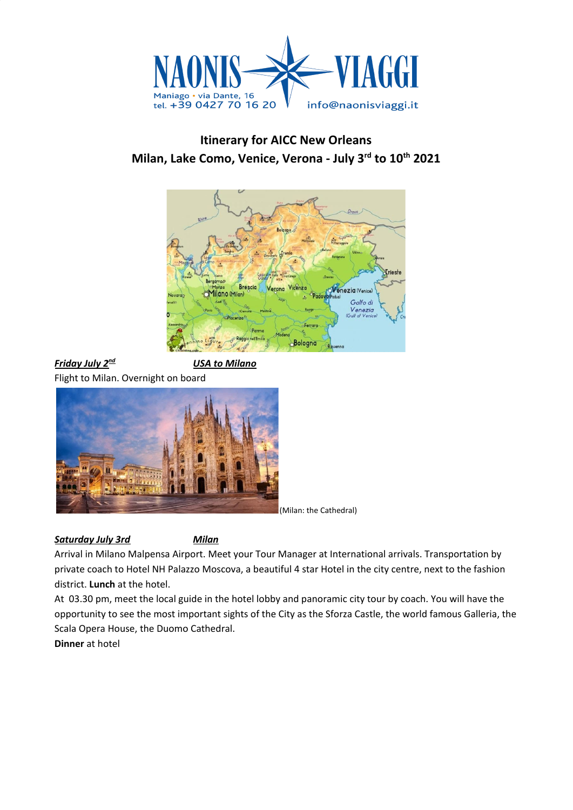

# **Itinerary for AICC New Orleans Milan, Lake Como, Venice, Verona - July 3 rd to 10 th 2021**



*Friday July 2 <u>USA</u> to Milano* Flight to Milan. Overnight on board



(Milan: the Cathedral)

### *Saturday July 3rd Milan*

Arrival in Milano Malpensa Airport. Meet your Tour Manager at International arrivals. Transportation by private coach to Hotel NH Palazzo Moscova, a beautiful 4 star Hotel in the city centre, next to the fashion district. **Lunch** at the hotel.

At 03.30 pm, meet the local guide in the hotel lobby and panoramic city tour by coach. You will have the opportunity to see the most important sights of the City as the Sforza Castle, the world famous Galleria, the Scala Opera House, the Duomo Cathedral.

**Dinner** at hotel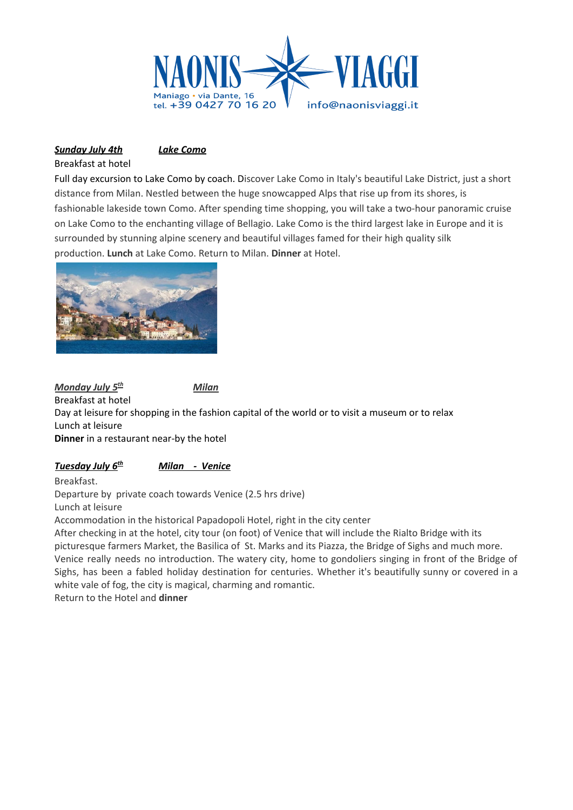

## *Sunday July 4th Lake Como*

Breakfast at hotel

Full day excursion to Lake Como by coach. Discover Lake Como in Italy's beautiful Lake District, just a short distance from Milan. Nestled between the huge snowcapped Alps that rise up from its shores, is fashionable lakeside town Como. After spending time shopping, you will take a two-hour panoramic cruise on Lake Como to the enchanting village of Bellagio. Lake Como is the third largest lake in Europe and it is surrounded by stunning alpine scenery and beautiful villages famed for their high quality silk production. **Lunch** at Lake Como. Return to Milan. **Dinner** at Hotel.



*Monday July 5 th Milan* Breakfast at hotel Day at leisure for shopping in the fashion capital of the world or to visit a museum or to relax Lunch at leisure **Dinner** in a restaurant near-by the hotel

#### *Tuesday July 6 th Milan - Venice*

Breakfast.

Departure by private coach towards Venice (2.5 hrs drive) Lunch at leisure

Accommodation in the historical Papadopoli Hotel, right in the city center

After checking in at the hotel, city tour (on foot) of Venice that will include the Rialto Bridge with its picturesque farmers Market, the Basilica of St. Marks and its Piazza, the Bridge of Sighs and much more. Venice really needs no introduction. The watery city, home to gondoliers singing in front of the Bridge of Sighs, has been a fabled holiday destination for centuries. Whether it's beautifully sunny or covered in a white vale of fog, the city is magical, charming and romantic.

Return to the Hotel and **dinner**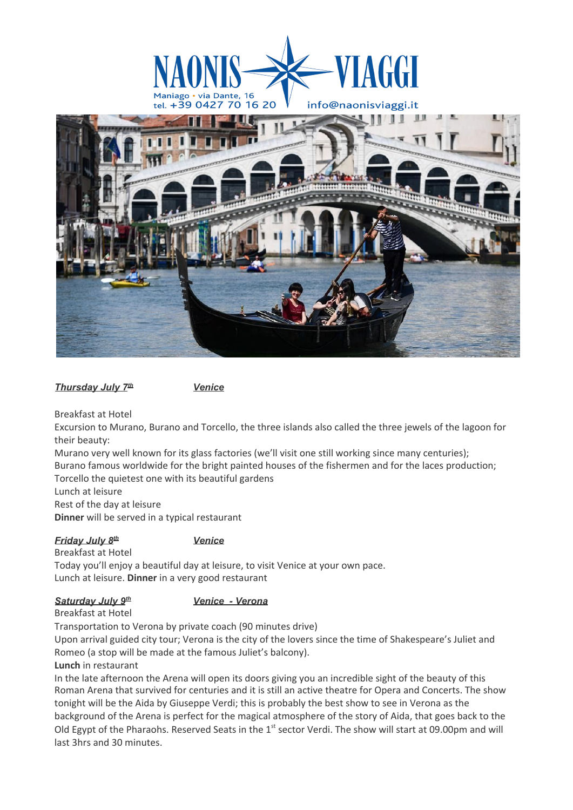

*Thursday July 7*

Breakfast at Hotel

Excursion to Murano, Burano and Torcello, the three islands also called the three jewels of the lagoon for their beauty:

Murano very well known for its glass factories (we'll visit one still working since many centuries); Burano famous worldwide for the bright painted houses of the fishermen and for the laces production; Torcello the quietest one with its beautiful gardens

Lunch at leisure

Rest of the day at leisure

**Dinner** will be served in a typical restaurant

*Friday July 8* Breakfast at Hotel

#### *th Venice*

*th Venice*

Today you'll enjoy a beautiful day at leisure, to visit Venice at your own pace. Lunch at leisure. **Dinner** in a very good restaurant

#### *Saturday July 9*

*th Venice - Verona*

### Breakfast at Hotel

Transportation to Verona by private coach (90 minutes drive)

Upon arrival guided city tour; Verona is the city of the lovers since the time of Shakespeare's Juliet and Romeo (a stop will be made at the famous Juliet's balcony).

#### **Lunch** in restaurant

In the late afternoon the Arena will open its doors giving you an incredible sight of the beauty of this Roman Arena that survived for centuries and it is still an active theatre for Opera and Concerts. The show tonight will be the Aida by Giuseppe Verdi; this is probably the best show to see in Verona as the background of the Arena is perfect for the magical atmosphere of the story of Aida, that goes back to the Old Egypt of the Pharaohs. Reserved Seats in the 1<sup>st</sup> sector Verdi. The show will start at 09.00pm and will last 3hrs and 30 minutes.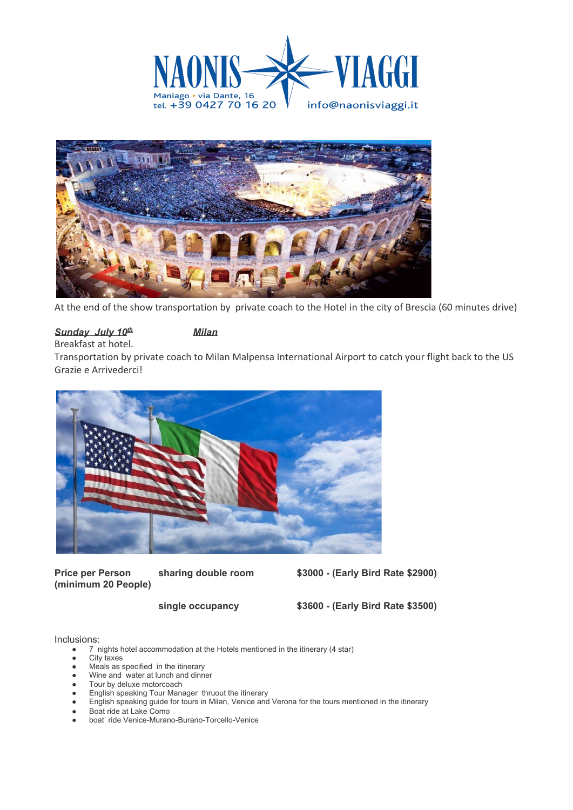



At the end of the show transportation by private coach to the Hotel in the city of Brescia (60 minutes drive)

#### *Sunday July 10*

#### *th Milan*

Breakfast at hotel.

Transportation by private coach to Milan Malpensa International Airport to catch your flight back to the US Grazie e Arrivederci!



**Price per Person sharing double room \$3000 - (Early Bird Rate \$2900) (minimum 20 People)**

**single occupancy \$3600 - (Early Bird Rate \$3500)**

Inclusions:

- 7 nights hotel accommodation at the Hotels mentioned in the itinerary (4 star)
- **City taxes**
- Meals as specified in the itinerary
- Wine and water at lunch and dinner
- Tour by deluxe motorcoach
- English speaking Tour Manager thruout the itinerary
- English speaking guide for tours in Milan, Venice and Verona for the tours mentioned in the itinerary
- Boat ride at Lake Como
- boat ride Venice-Murano-Burano-Torcello-Venice